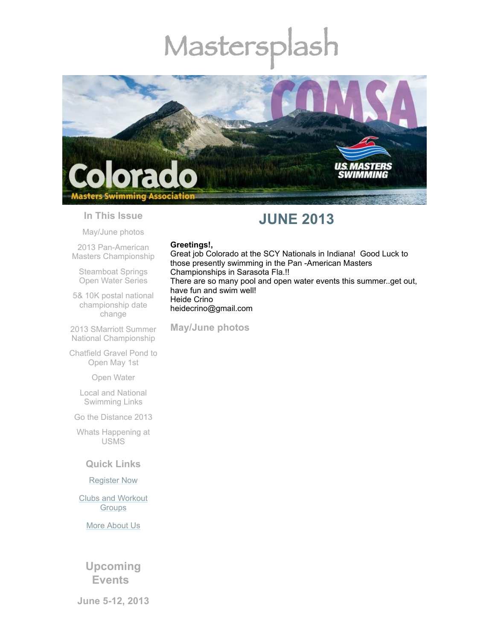# Mastersplash



#### **In This Issue**

[May/June](#page-0-0) photos

2013 Pan-American Masters [Championship](#page-1-0)

[Steamboat](#page-1-1) Springs Open Water Series

5& 10K postal national [championship](#page-2-0) date change

2013 SMarriott Summer National [Championship](#page-2-1)

[Chatfield](#page-3-0) Gravel Pond to Open May 1st

Open [Water](#page-3-1)

Local and National [Swimming](#page-3-2) Links

Go the [Distance](#page-4-0) 2013

Whats [Happening](#page-4-1) at USMS

# **Quick Links**

#### [Register](http://comsa.org/joining/index.html) Now

Clubs and [Workout](http://comsa.org/clubs/index.html) **Groups** 

More [About](http://comsa.org/) Us

**Upcoming Events**

**June 5-12, 2013**

# **JUNE 2013**

#### **Greetings!,**

Great job Colorado at the SCY Nationals in Indiana! Good Luck to those presently swimming in the Pan -American Masters Championships in Sarasota Fla.!! There are so many pool and open water events this summer..get out, have fun and swim well! Heide Crino heidecrino@gmail.com

<span id="page-0-0"></span>**May/June photos**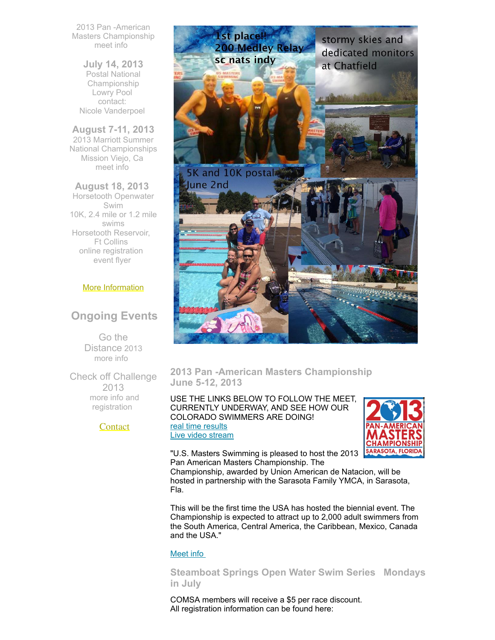2013 Pan -American Masters Championship [meet](http://www.panamericanmasters2013.org/) info

**July 14, 2013** Postal National Championship Lowry Pool contact: Nicole [Vanderpoel](mailto:nicolevanderpoel@msn.com)

**August 7-11, 2013** 2013 Marriott Summer National Championships Mission Viejo, Ca [meet](http://www.usmhttp//www.usms.org/comp/lcnats13/s.org/comp/lcnats13/) info

**August 18, 2013** Horsetooth Openwater Swim 10K, 2.4 mile or 1.2 mile swims Horsetooth Reservoir, Ft Collins online [registration](http://www.horsetoothswim.com/) [event](http://www.comsa.org/events/2013%20openwater/HorsetoothOpenWaterSwim2013.pdf) flyer

#### More [Information](http://www.comsa.org/)

# **Ongoing Events**

Go the Distance 2013 [more](http://www.usms.org/fitness/content/gothedistance) info

Check off Challenge 2013 more info and [registration](http://www.usms.org/fitness/content/checkoff)

#### **[Contact](mailto:heidecrino@gmail.com?)**



<span id="page-1-0"></span>**2013 Pan -American Masters Championship June 5-12, 2013**

USE THE LINKS BELOW TO FOLLOW THE MEET, CURRENTLY UNDERWAY, AND SEE HOW OUR COLORADO SWIMMERS ARE DOING! real time [results](http://www.usms.org/comp/panams13/realtime/) Live video [stream](http://www.usms.org/comp/panams13/stream.php)



"U.S. Masters Swimming is pleased to host the 2013 Pan American Masters Championship. The

Championship, awarded by Union American de Natacion, will be hosted in partnership with the Sarasota Family YMCA, in Sarasota, Fla.

This will be the first time the USA has hosted the biennial event. The Championship is expected to attract up to 2,000 adult swimmers from the South America, Central America, the Caribbean, Mexico, Canada and the USA."

#### [Meet](http://www.panamericanmasters2013.org/) info

<span id="page-1-1"></span>**Steamboat Springs Open Water Swim Series Mondays in July**

COMSA members will receive a \$5 per race discount. All registration information can be found here: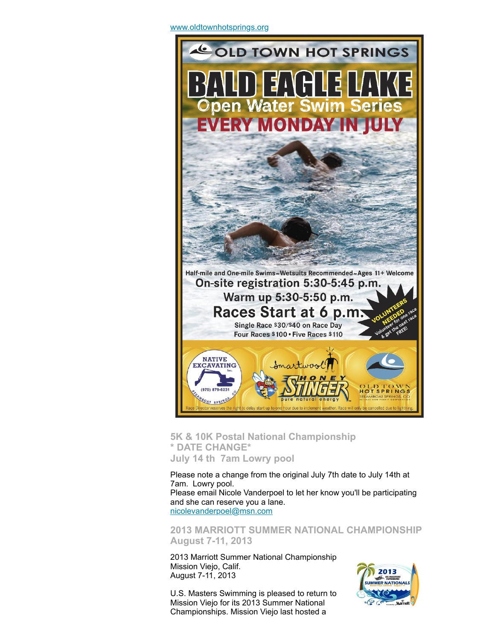

<span id="page-2-0"></span>**5K & 10K Postal National Championship \* DATE CHANGE\* July 14 th 7am Lowry pool**

Please note a change from the original July 7th date to July 14th at 7am. Lowry pool. Please email Nicole Vanderpoel to let her know you'll be participating and she can reserve you a lane. [nicolevanderpoel@msn.com](mailto:nicolevanderpoel@msn.com)

<span id="page-2-1"></span>**2013 MARRIOTT SUMMER NATIONAL CHAMPIONSHIP August 7-11, 2013**

2013 Marriott Summer National Championship Mission Viejo, Calif. August 7-11, 2013

U.S. Masters Swimming is pleased to return to Mission Viejo for its 2013 Summer National Championships. Mission Viejo last hosted a

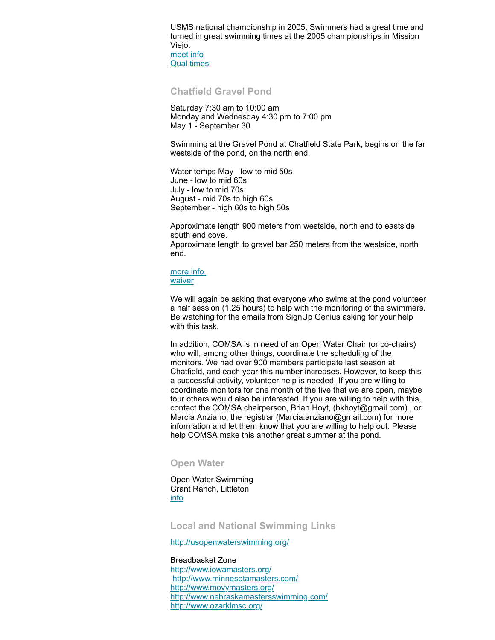USMS national championship in 2005. Swimmers had a great time and turned in great swimming times at the 2005 championships in Mission Viejo. [meet](http://www.usms.org/comp/lcnats13/) info

Qual [times](http://www.usms.org/comp/lcnats13/nqt.pdf)

#### <span id="page-3-0"></span>**Chatfield Gravel Pond**

Saturday 7:30 am to 10:00 am Monday and Wednesday 4:30 pm to 7:00 pm May 1 - September 30

Swimming at the Gravel Pond at Chatfield State Park, begins on the far westside of the pond, on the north end.

Water temps May - low to mid 50s June - low to mid 60s July - low to mid 70s August - mid 70s to high 60s September - high 60s to high 50s

Approximate length 900 meters from westside, north end to eastside south end cove.

Approximate length to gravel bar 250 meters from the westside, north end.

#### [more](http://www.comsa.org/openwater.html) info **[waiver](http://www.comsa.org/events/2013%20openwater/2013%20Chatfield%20Waiver%20Paper.pdf)**

We will again be asking that everyone who swims at the pond volunteer a half session (1.25 hours) to help with the monitoring of the swimmers. Be watching for the emails from SignUp Genius asking for your help with this task.

In addition, COMSA is in need of an Open Water Chair (or co-chairs) who will, among other things, coordinate the scheduling of the monitors. We had over 900 members participate last season at Chatfield, and each year this number increases. However, to keep this a successful activity, volunteer help is needed. If you are willing to coordinate monitors for one month of the five that we are open, maybe four others would also be interested. If you are willing to help with this, contact the COMSA chairperson, Brian Hoyt, (bkhoyt@gmail.com) , or Marcia Anziano, the registrar (Marcia.anziano@gmail.com) for more information and let them know that you are willing to help out. Please help COMSA make this another great summer at the pond.

#### <span id="page-3-1"></span>**Open Water**

Open Water Swimming Grant Ranch, Littleton [info](http://www.milehighmultisport.com/open-water-swimming/about/)

#### <span id="page-3-2"></span>**Local and National Swimming Links**

<http://usopenwaterswimming.org/>

#### Breadbasket Zone

<http://www.iowamasters.org/> <http://www.minnesotamasters.com/> <http://www.movymasters.org/> <http://www.nebraskamastersswimming.com/> <http://www.ozarklmsc.org/>